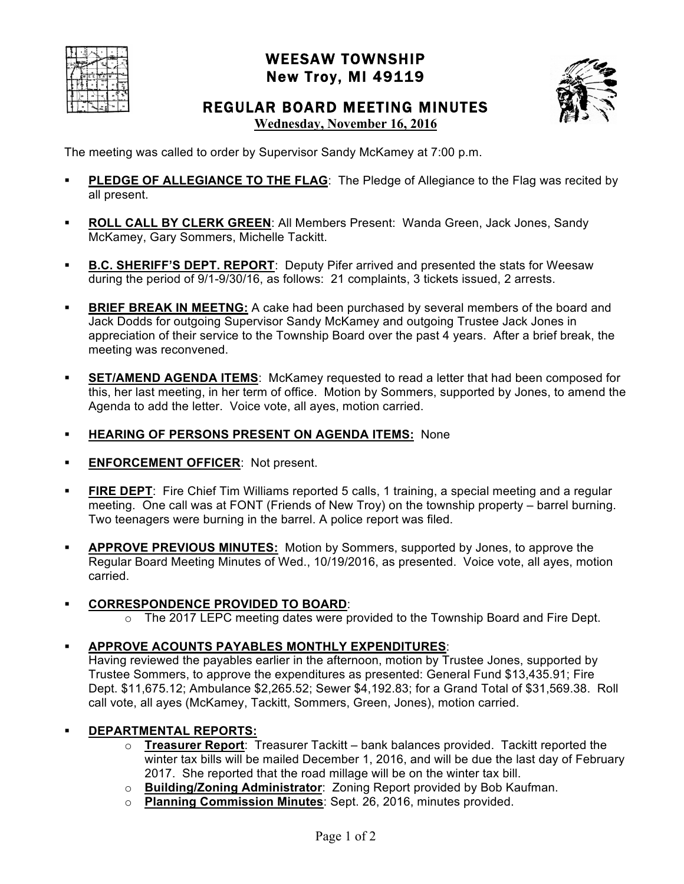|  |  | ₩ |    |
|--|--|---|----|
|  |  |   | ×, |
|  |  |   |    |
|  |  |   |    |

## WEESAW TOWNSHIP New Troy, MI 49119



# REGULAR BOARD MEETING MINUTES

**Wednesday, November 16, 2016**

The meeting was called to order by Supervisor Sandy McKamey at 7:00 p.m.

- **PLEDGE OF ALLEGIANCE TO THE FLAG: The Pledge of Allegiance to the Flag was recited by** all present.
- ! **ROLL CALL BY CLERK GREEN**: All Members Present: Wanda Green, Jack Jones, Sandy McKamey, Gary Sommers, Michelle Tackitt.
- **B.C. SHERIFF'S DEPT. REPORT:** Deputy Pifer arrived and presented the stats for Weesaw during the period of 9/1-9/30/16, as follows: 21 complaints, 3 tickets issued, 2 arrests.
- **BRIEF BREAK IN MEETNG:** A cake had been purchased by several members of the board and Jack Dodds for outgoing Supervisor Sandy McKamey and outgoing Trustee Jack Jones in appreciation of their service to the Township Board over the past 4 years. After a brief break, the meeting was reconvened.
- **EXEMENT AGENDA ITEMS:** McKamey requested to read a letter that had been composed for this, her last meeting, in her term of office. Motion by Sommers, supported by Jones, to amend the Agenda to add the letter. Voice vote, all ayes, motion carried.
- ! **HEARING OF PERSONS PRESENT ON AGENDA ITEMS:** None
- **ENFORCEMENT OFFICER: Not present.**
- ! **FIRE DEPT**: Fire Chief Tim Williams reported 5 calls, 1 training, a special meeting and a regular meeting. One call was at FONT (Friends of New Troy) on the township property – barrel burning. Two teenagers were burning in the barrel. A police report was filed.
- ! **APPROVE PREVIOUS MINUTES:** Motion by Sommers, supported by Jones, to approve the Regular Board Meeting Minutes of Wed., 10/19/2016, as presented. Voice vote, all ayes, motion carried.

### ! **CORRESPONDENCE PROVIDED TO BOARD**:

 $\circ$  The 2017 LEPC meeting dates were provided to the Township Board and Fire Dept.

### ! **APPROVE ACOUNTS PAYABLES MONTHLY EXPENDITURES**:

Having reviewed the payables earlier in the afternoon, motion by Trustee Jones, supported by Trustee Sommers, to approve the expenditures as presented: General Fund \$13,435.91; Fire Dept. \$11,675.12; Ambulance \$2,265.52; Sewer \$4,192.83; for a Grand Total of \$31,569.38. Roll call vote, all ayes (McKamey, Tackitt, Sommers, Green, Jones), motion carried.

### ! **DEPARTMENTAL REPORTS:**

- o **Treasurer Report**: Treasurer Tackitt bank balances provided. Tackitt reported the winter tax bills will be mailed December 1, 2016, and will be due the last day of February 2017. She reported that the road millage will be on the winter tax bill.
- o **Building/Zoning Administrator**: Zoning Report provided by Bob Kaufman.
- o **Planning Commission Minutes**: Sept. 26, 2016, minutes provided.